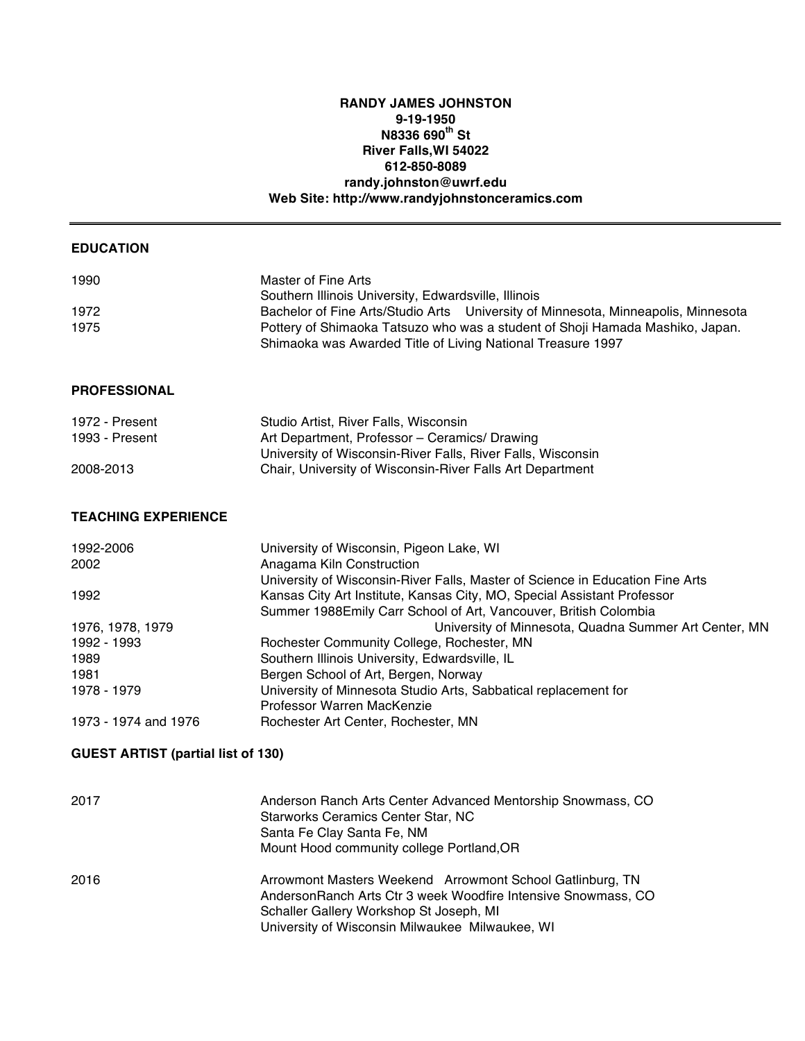## **RANDY JAMES JOHNSTON 9-19-1950 N8336 690th St River Falls,WI 54022 612-850-8089 randy.johnston@uwrf.edu Web Site: http://www.randyjohnstonceramics.com**

| <b>EDUCATION</b>                          |                                                                                                                                                                    |
|-------------------------------------------|--------------------------------------------------------------------------------------------------------------------------------------------------------------------|
| 1990                                      | Master of Fine Arts                                                                                                                                                |
|                                           | Southern Illinois University, Edwardsville, Illinois                                                                                                               |
| 1972<br>1975                              | Bachelor of Fine Arts/Studio Arts University of Minnesota, Minneapolis, Minnesota<br>Pottery of Shimaoka Tatsuzo who was a student of Shoji Hamada Mashiko, Japan. |
|                                           | Shimaoka was Awarded Title of Living National Treasure 1997                                                                                                        |
| <b>PROFESSIONAL</b>                       |                                                                                                                                                                    |
| 1972 - Present                            | Studio Artist, River Falls, Wisconsin                                                                                                                              |
| 1993 - Present                            | Art Department, Professor - Ceramics/ Drawing                                                                                                                      |
|                                           | University of Wisconsin-River Falls, River Falls, Wisconsin                                                                                                        |
| 2008-2013                                 | Chair, University of Wisconsin-River Falls Art Department                                                                                                          |
| <b>TEACHING EXPERIENCE</b>                |                                                                                                                                                                    |
| 1992-2006                                 | University of Wisconsin, Pigeon Lake, WI                                                                                                                           |
| 2002                                      | Anagama Kiln Construction<br>University of Wisconsin-River Falls, Master of Science in Education Fine Arts                                                         |
| 1992                                      | Kansas City Art Institute, Kansas City, MO, Special Assistant Professor<br>Summer 1988Emily Carr School of Art, Vancouver, British Colombia                        |
| 1976, 1978, 1979                          | University of Minnesota, Quadna Summer Art Center, MN                                                                                                              |
| 1992 - 1993                               | Rochester Community College, Rochester, MN                                                                                                                         |
| 1989                                      | Southern Illinois University, Edwardsville, IL                                                                                                                     |
| 1981                                      | Bergen School of Art, Bergen, Norway                                                                                                                               |
| 1978 - 1979                               | University of Minnesota Studio Arts, Sabbatical replacement for                                                                                                    |
|                                           | Professor Warren MacKenzie                                                                                                                                         |
| 1973 - 1974 and 1976                      | Rochester Art Center, Rochester, MN                                                                                                                                |
| <b>GUEST ARTIST (partial list of 130)</b> |                                                                                                                                                                    |
| 2017                                      | Anderson Ranch Arts Center Advanced Mentorship Snowmass, CO                                                                                                        |
|                                           | Starworks Ceramics Center Star, NC                                                                                                                                 |
|                                           | Santa Fe Clay Santa Fe, NM                                                                                                                                         |
|                                           | Mount Hood community college Portland, OR                                                                                                                          |
| 2016                                      | Arrowmont Masters Weekend Arrowmont School Gatlinburg, TN                                                                                                          |
|                                           | AndersonRanch Arts Ctr 3 week Woodfire Intensive Snowmass, CO                                                                                                      |
|                                           | Schaller Gallery Workshop St Joseph, MI                                                                                                                            |

University of Wisconsin Milwaukee Milwaukee, WI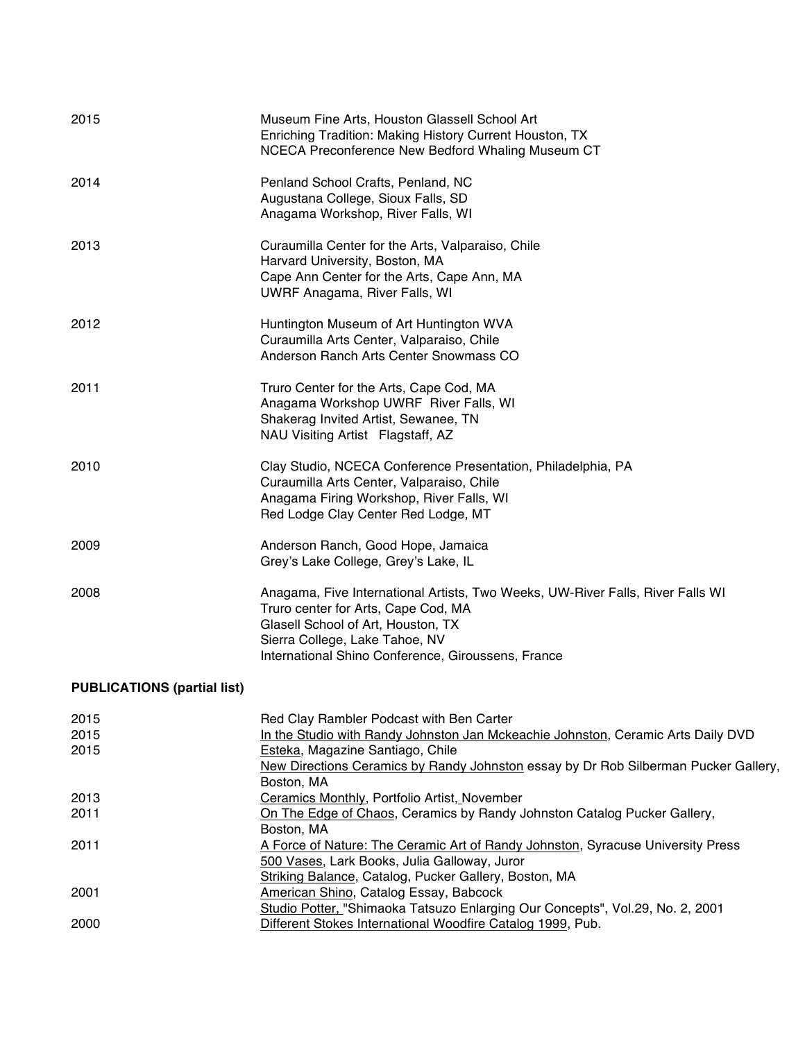| 2015                               | Museum Fine Arts, Houston Glassell School Art<br>Enriching Tradition: Making History Current Houston, TX<br>NCECA Preconference New Bedford Whaling Museum CT                                                                                                         |
|------------------------------------|-----------------------------------------------------------------------------------------------------------------------------------------------------------------------------------------------------------------------------------------------------------------------|
| 2014                               | Penland School Crafts, Penland, NC<br>Augustana College, Sioux Falls, SD<br>Anagama Workshop, River Falls, WI                                                                                                                                                         |
| 2013                               | Curaumilla Center for the Arts, Valparaiso, Chile<br>Harvard University, Boston, MA<br>Cape Ann Center for the Arts, Cape Ann, MA<br><b>UWRF Anagama, River Falls, WI</b>                                                                                             |
| 2012                               | Huntington Museum of Art Huntington WVA<br>Curaumilla Arts Center, Valparaiso, Chile<br>Anderson Ranch Arts Center Snowmass CO                                                                                                                                        |
| 2011                               | Truro Center for the Arts, Cape Cod, MA<br>Anagama Workshop UWRF River Falls, WI<br>Shakerag Invited Artist, Sewanee, TN<br>NAU Visiting Artist Flagstaff, AZ                                                                                                         |
| 2010                               | Clay Studio, NCECA Conference Presentation, Philadelphia, PA<br>Curaumilla Arts Center, Valparaiso, Chile<br>Anagama Firing Workshop, River Falls, WI<br>Red Lodge Clay Center Red Lodge, MT                                                                          |
| 2009                               | Anderson Ranch, Good Hope, Jamaica<br>Grey's Lake College, Grey's Lake, IL                                                                                                                                                                                            |
| 2008                               | Anagama, Five International Artists, Two Weeks, UW-River Falls, River Falls WI<br>Truro center for Arts, Cape Cod, MA<br>Glasell School of Art, Houston, TX<br>Sierra College, Lake Tahoe, NV<br>International Shino Conference, Giroussens, France                   |
| <b>PUBLICATIONS (partial list)</b> |                                                                                                                                                                                                                                                                       |
| 2015<br>2015<br>2015               | Red Clay Rambler Podcast with Ben Carter<br>In the Studio with Randy Johnston Jan Mckeachie Johnston, Ceramic Arts Daily DVD<br>Esteka, Magazine Santiago, Chile<br>New Directions Ceramics by Randy Johnston essay by Dr Rob Silberman Pucker Gallery,<br>Boston, MA |
|                                    |                                                                                                                                                                                                                                                                       |
| 2013<br>2011                       | Ceramics Monthly, Portfolio Artist, November<br>On The Edge of Chaos, Ceramics by Randy Johnston Catalog Pucker Gallery,                                                                                                                                              |
|                                    | Boston, MA                                                                                                                                                                                                                                                            |
| 2011                               | A Force of Nature: The Ceramic Art of Randy Johnston, Syracuse University Press<br>500 Vases, Lark Books, Julia Galloway, Juror                                                                                                                                       |
| 2001                               | Striking Balance, Catalog, Pucker Gallery, Boston, MA<br>American Shino, Catalog Essay, Babcock                                                                                                                                                                       |
|                                    | Studio Potter, "Shimaoka Tatsuzo Enlarging Our Concepts", Vol.29, No. 2, 2001                                                                                                                                                                                         |
| 2000                               | Different Stokes International Woodfire Catalog 1999, Pub.                                                                                                                                                                                                            |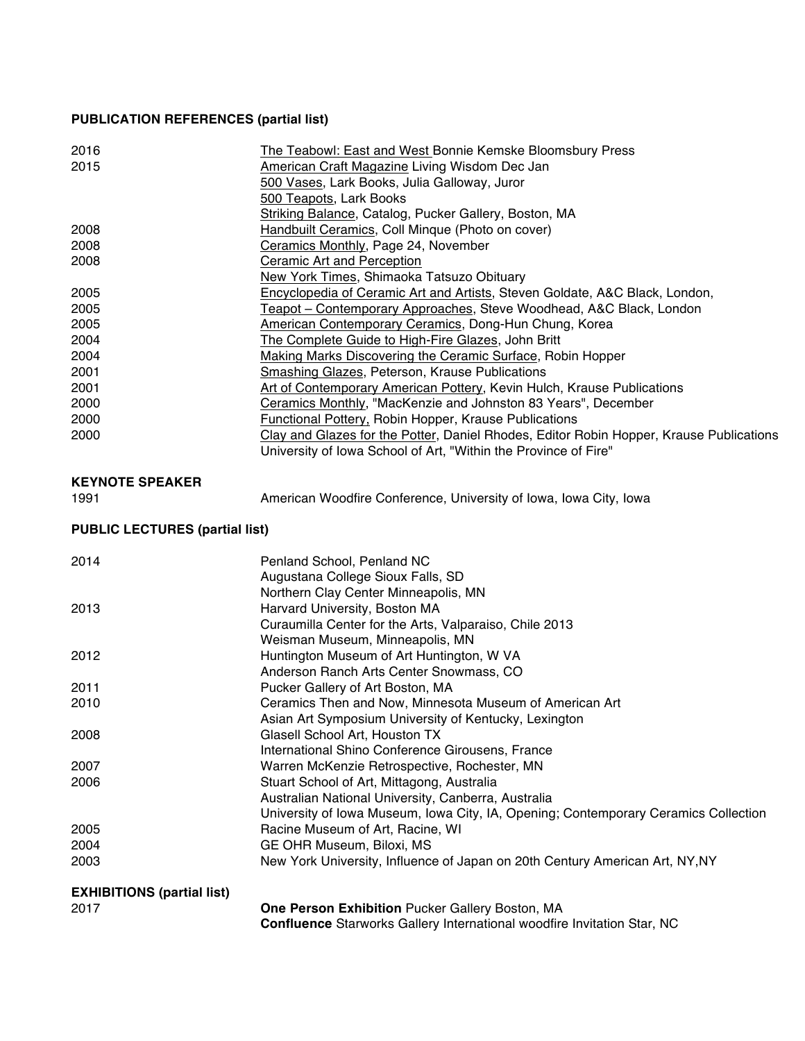## **PUBLICATION REFERENCES (partial list)**

| 2016<br>2015                              | The Teabowl: East and West Bonnie Kemske Bloomsbury Press<br>American Craft Magazine Living Wisdom Dec Jan<br>500 Vases, Lark Books, Julia Galloway, Juror<br>500 Teapots, Lark Books |
|-------------------------------------------|---------------------------------------------------------------------------------------------------------------------------------------------------------------------------------------|
|                                           | Striking Balance, Catalog, Pucker Gallery, Boston, MA                                                                                                                                 |
| 2008<br>2008                              | Handbuilt Ceramics, Coll Minque (Photo on cover)                                                                                                                                      |
|                                           | Ceramics Monthly, Page 24, November                                                                                                                                                   |
| 2008                                      | <b>Ceramic Art and Perception</b>                                                                                                                                                     |
|                                           | New York Times, Shimaoka Tatsuzo Obituary                                                                                                                                             |
| 2005                                      | Encyclopedia of Ceramic Art and Artists, Steven Goldate, A&C Black, London,                                                                                                           |
| 2005                                      | Teapot - Contemporary Approaches, Steve Woodhead, A&C Black, London                                                                                                                   |
| 2005                                      | American Contemporary Ceramics, Dong-Hun Chung, Korea                                                                                                                                 |
| 2004                                      | The Complete Guide to High-Fire Glazes, John Britt                                                                                                                                    |
| 2004                                      | <b>Making Marks Discovering the Ceramic Surface, Robin Hopper</b>                                                                                                                     |
| 2001                                      | <b>Smashing Glazes, Peterson, Krause Publications</b>                                                                                                                                 |
| 2001                                      | Art of Contemporary American Pottery, Kevin Hulch, Krause Publications                                                                                                                |
| 2000                                      | Ceramics Monthly, "MacKenzie and Johnston 83 Years", December                                                                                                                         |
| 2000                                      | <b>Functional Pottery, Robin Hopper, Krause Publications</b>                                                                                                                          |
| 2000                                      | Clay and Glazes for the Potter, Daniel Rhodes, Editor Robin Hopper, Krause Publications<br>University of Iowa School of Art, "Within the Province of Fire"                            |
| <b>KEYNOTE SPEAKER</b>                    |                                                                                                                                                                                       |
| 1991                                      | American Woodfire Conference, University of Iowa, Iowa City, Iowa                                                                                                                     |
| <b>PUBLIC LECTURES (partial list)</b>     |                                                                                                                                                                                       |
| 2014                                      | Penland School, Penland NC                                                                                                                                                            |
|                                           | Augustana College Sioux Falls, SD                                                                                                                                                     |
|                                           | Northern Clay Center Minneapolis, MN                                                                                                                                                  |
| 2013                                      | Harvard University, Boston MA                                                                                                                                                         |
|                                           | Curaumilla Center for the Arts, Valparaiso, Chile 2013                                                                                                                                |
|                                           | Weisman Museum, Minneapolis, MN                                                                                                                                                       |
| 2012                                      | Huntington Museum of Art Huntington, W VA                                                                                                                                             |
|                                           | Anderson Ranch Arts Center Snowmass, CO                                                                                                                                               |
| 2011                                      | Pucker Gallery of Art Boston, MA                                                                                                                                                      |
| 2010                                      | Ceramics Then and Now, Minnesota Museum of American Art                                                                                                                               |
|                                           | Asian Art Symposium University of Kentucky, Lexington                                                                                                                                 |
| 2008                                      | Glasell School Art, Houston TX                                                                                                                                                        |
|                                           | International Shino Conference Girousens, France                                                                                                                                      |
|                                           | Warren McKenzie Retrospective, Rochester, MN                                                                                                                                          |
| 2007                                      |                                                                                                                                                                                       |
|                                           |                                                                                                                                                                                       |
| 2006                                      | Stuart School of Art, Mittagong, Australia                                                                                                                                            |
|                                           | Australian National University, Canberra, Australia                                                                                                                                   |
|                                           | University of Iowa Museum, Iowa City, IA, Opening; Contemporary Ceramics Collection                                                                                                   |
| 2005                                      | Racine Museum of Art, Racine, WI                                                                                                                                                      |
| 2004                                      | GE OHR Museum, Biloxi, MS                                                                                                                                                             |
| 2003                                      | New York University, Influence of Japan on 20th Century American Art, NY, NY                                                                                                          |
|                                           |                                                                                                                                                                                       |
| <b>EXHIBITIONS (partial list)</b><br>2017 | One Person Exhibition Pucker Gallery Boston, MA                                                                                                                                       |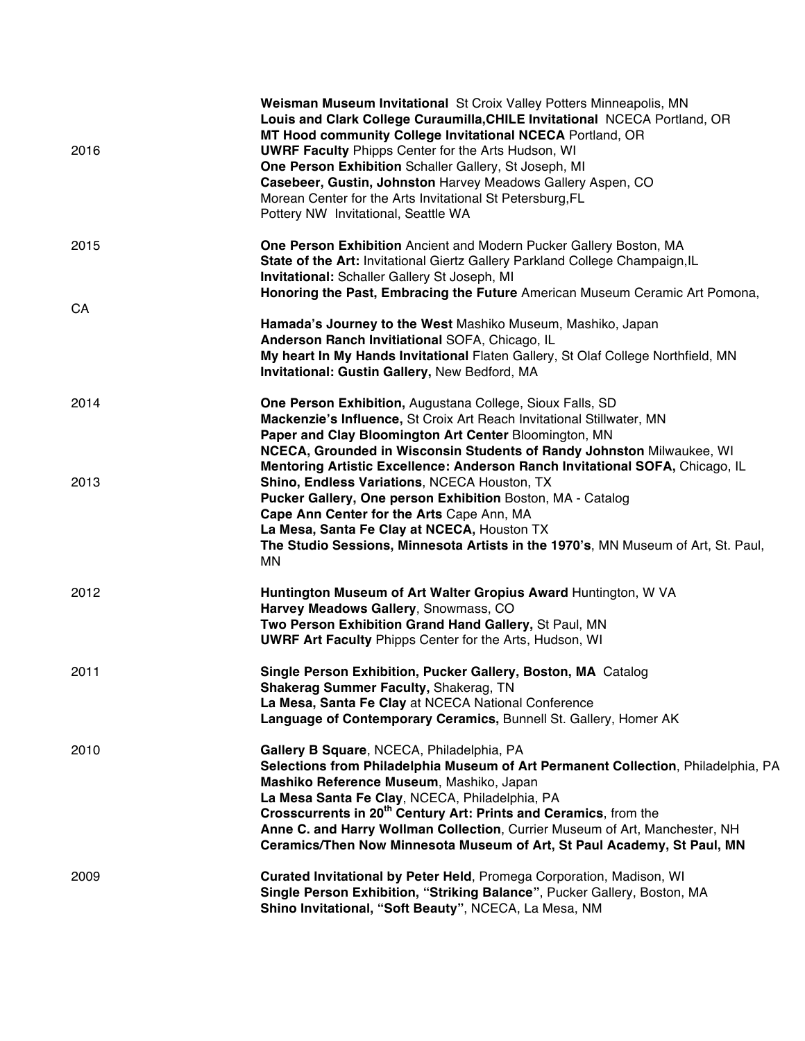| 2016 | Weisman Museum Invitational St Croix Valley Potters Minneapolis, MN<br>Louis and Clark College Curaumilla, CHILE Invitational NCECA Portland, OR<br>MT Hood community College Invitational NCECA Portland, OR<br><b>UWRF Faculty Phipps Center for the Arts Hudson, WI</b><br>One Person Exhibition Schaller Gallery, St Joseph, MI<br>Casebeer, Gustin, Johnston Harvey Meadows Gallery Aspen, CO<br>Morean Center for the Arts Invitational St Petersburg, FL<br>Pottery NW Invitational, Seattle WA |
|------|--------------------------------------------------------------------------------------------------------------------------------------------------------------------------------------------------------------------------------------------------------------------------------------------------------------------------------------------------------------------------------------------------------------------------------------------------------------------------------------------------------|
| 2015 | One Person Exhibition Ancient and Modern Pucker Gallery Boston, MA<br>State of the Art: Invitational Giertz Gallery Parkland College Champaign, IL<br>Invitational: Schaller Gallery St Joseph, MI<br>Honoring the Past, Embracing the Future American Museum Ceramic Art Pomona,                                                                                                                                                                                                                      |
| CA   | Hamada's Journey to the West Mashiko Museum, Mashiko, Japan<br>Anderson Ranch Invitiational SOFA, Chicago, IL<br>My heart In My Hands Invitational Flaten Gallery, St Olaf College Northfield, MN<br>Invitational: Gustin Gallery, New Bedford, MA                                                                                                                                                                                                                                                     |
| 2014 | One Person Exhibition, Augustana College, Sioux Falls, SD<br>Mackenzie's Influence, St Croix Art Reach Invitational Stillwater, MN<br>Paper and Clay Bloomington Art Center Bloomington, MN<br>NCECA, Grounded in Wisconsin Students of Randy Johnston Milwaukee, WI<br>Mentoring Artistic Excellence: Anderson Ranch Invitational SOFA, Chicago, IL                                                                                                                                                   |
| 2013 | Shino, Endless Variations, NCECA Houston, TX<br>Pucker Gallery, One person Exhibition Boston, MA - Catalog<br>Cape Ann Center for the Arts Cape Ann, MA<br>La Mesa, Santa Fe Clay at NCECA, Houston TX<br>The Studio Sessions, Minnesota Artists in the 1970's, MN Museum of Art, St. Paul,<br>ΜN                                                                                                                                                                                                      |
| 2012 | Huntington Museum of Art Walter Gropius Award Huntington, W VA<br>Harvey Meadows Gallery, Snowmass, CO<br>Two Person Exhibition Grand Hand Gallery, St Paul, MN<br><b>UWRF Art Faculty Phipps Center for the Arts, Hudson, WI</b>                                                                                                                                                                                                                                                                      |
| 2011 | Single Person Exhibition, Pucker Gallery, Boston, MA Catalog<br><b>Shakerag Summer Faculty, Shakerag, TN</b><br>La Mesa, Santa Fe Clay at NCECA National Conference<br>Language of Contemporary Ceramics, Bunnell St. Gallery, Homer AK                                                                                                                                                                                                                                                                |
| 2010 | Gallery B Square, NCECA, Philadelphia, PA<br>Selections from Philadelphia Museum of Art Permanent Collection, Philadelphia, PA<br>Mashiko Reference Museum, Mashiko, Japan<br>La Mesa Santa Fe Clay, NCECA, Philadelphia, PA<br>Crosscurrents in 20 <sup>th</sup> Century Art: Prints and Ceramics, from the<br>Anne C. and Harry Wollman Collection, Currier Museum of Art, Manchester, NH<br>Ceramics/Then Now Minnesota Museum of Art, St Paul Academy, St Paul, MN                                 |
| 2009 | Curated Invitational by Peter Held, Promega Corporation, Madison, WI<br>Single Person Exhibition, "Striking Balance", Pucker Gallery, Boston, MA<br>Shino Invitational, "Soft Beauty", NCECA, La Mesa, NM                                                                                                                                                                                                                                                                                              |